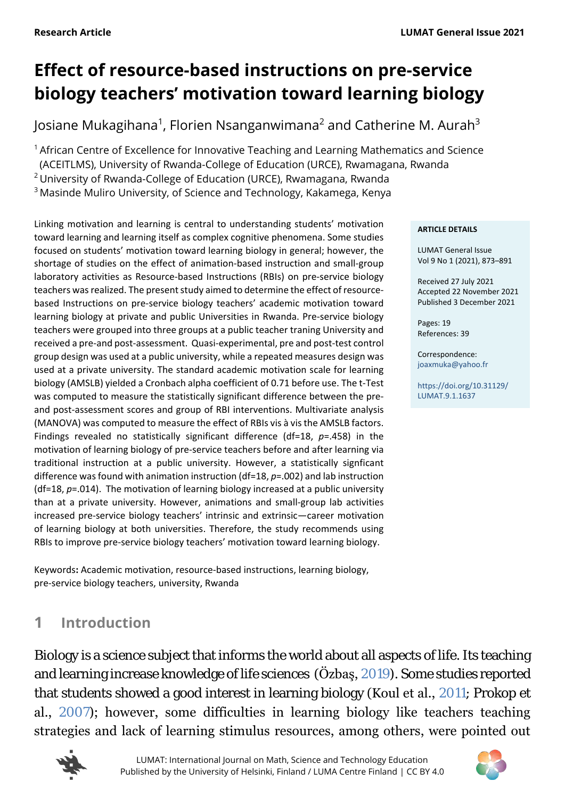# **Effect of resource-based instructions on pre-service biology teachers' motivation toward learning biology**

Josiane Mukagihana<sup>1</sup>, Florien Nsanganwimana<sup>2</sup> and Catherine M. Aurah<sup>3</sup>

 $1$ African Centre of Excellence for Innovative Teaching and Learning Mathematics and Science

(ACEITLMS), University of Rwanda-College of Education (URCE), Rwamagana, Rwanda

<sup>2</sup> University of Rwanda-College of Education (URCE), Rwamagana, Rwanda

3 Masinde Muliro University, of Science and Technology, Kakamega, Kenya

Linking motivation and learning is central to understanding students' motivation toward learning and learning itself as complex cognitive phenomena. Some studies focused on students' motivation toward learning biology in general; however, the shortage of studies on the effect of animation-based instruction and small-group laboratory activities as Resource-based Instructions (RBIs) on pre-service biology teachers was realized. The present study aimed to determine the effect of resourcebased Instructions on pre-service biology teachers' academic motivation toward learning biology at private and public Universities in Rwanda. Pre-service biology teachers were grouped into three groups at a public teacher traning University and received a pre-and post-assessment. Quasi-experimental, pre and post-test control group design was used at a public university, while a repeated measures design was used at a private university. The standard academic motivation scale for learning biology (AMSLB) yielded a Cronbach alpha coefficient of 0.71 before use. The t-Test was computed to measure the statistically significant difference between the preand post-assessment scores and group of RBI interventions. Multivariate analysis (MANOVA) was computed to measure the effect of RBIs vis à vis the AMSLB factors. Findings revealed no statistically significant difference (df=18, *p*=.458) in the motivation of learning biology of pre-service teachers before and after learning via traditional instruction at a public university. However, a statistically signficant difference was found with animation instruction (df=18, *p*=.002) and lab instruction (df=18, *p*=.014). The motivation of learning biology increased at a public university than at a private university. However, animations and small-group lab activities increased pre-service biology teachers' intrinsic and extrinsic—career motivation of learning biology at both universities. Therefore, the study recommends using RBIs to improve pre-service biology teachers' motivation toward learning biology.

Keywords**:** Academic motivation, resource-based instructions, learning biology, pre-service biology teachers, university, Rwanda

# **1 Introduction**

Biology is a science subject that informs the world about all aspects of life. Its teaching and learning increase knowledge of life sciences (Özbaş, [2019\)](#page-17-0). Some studies reported that students showed a good interest in learning biology (Koul et al., [2011;](#page-17-1) Prokop et al., [2007\)](#page-17-2); however, some difficulties in learning biology like teachers teaching strategies and lack of learning stimulus resources, among others, were pointed out





#### **ARTICLE DETAILS**

LUMAT General Issue Vol 9 No 1 (2021), 873–891

Received 27 July 2021 Accepted 22 November 2021 Published 3 December 2021

Pages: 19 References: 39

Correspondence: [joaxmuka@yahoo.fr](mailto:joaxmuka@yahoo.fr)

[https://doi.org/10.31129/](https://doi.org/10.31129/LUMAT.9.1.1637)  [LUMAT.9.1.1637](https://doi.org/10.31129/LUMAT.9.1.1637)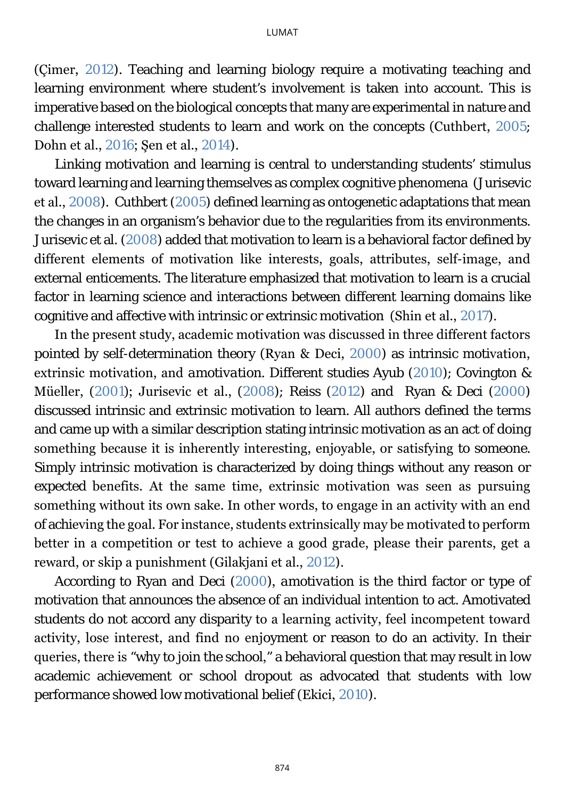(Çimer, [2012\)](#page-15-0). Teaching and learning biology require a motivating teaching and learning environment where student's involvement is taken into account. This is imperative based on the biological concepts that many are experimental in nature and challenge interested students to learn and work on the concepts (Cuthbert, [2005;](#page-16-0) Dohn et al., [2016](#page-16-1); Şen et al., [2014\)](#page-17-3).

Linking motivation and learning is central to understanding students' stimulus toward learning and learning themselves as complex cognitive phenomena (Jurisevic et al., [2008\)](#page-16-2). Cuthbert [\(2005\)](#page-16-0) defined learning as ontogenetic adaptations that mean the changes in an organism's behavior due to the regularities from its environments. Jurisevic et al. [\(2008\)](#page-16-2) added that motivation to learn is a behavioral factor defined by different elements of motivation like interests, goals, attributes, self-image, and external enticements. The literature emphasized that motivation to learn is a crucial factor in learning science and interactions between different learning domains like cognitive and affective with intrinsic or extrinsic motivation (Shin et al., [2017\)](#page-18-0).

In the present study, academic motivation was discussed in three different factors pointed by self-determination theory (Ryan & Deci, [2000\)](#page-17-4) as intrinsic motivation, extrinsic motivation, and *amotivation*. Different studies Ayub [\(2010\)](#page-15-1); Covington & Müeller, ([2001](#page-16-3)); Jurisevic et al., ([2008\)](#page-16-2); Reiss [\(2012\)](#page-17-5) and Ryan & Deci [\(2000\)](#page-17-4) discussed intrinsic and extrinsic motivation to learn. All authors defined the terms and came up with a similar description stating intrinsic motivation as an act of doing something because it is inherently interesting, enjoyable, or satisfying to someone. Simply intrinsic motivation is characterized by doing things without any reason or expected benefits. At the same time, extrinsic motivation was seen as pursuing something without its own sake. In other words, to engage in an activity with an end of achieving the goal. For instance, students extrinsically may be motivated to perform better in a competition or test to achieve a good grade, please their parents, get a reward, or skip a punishment (Gilakjani et al., [2012\)](#page-16-4).

According to Ryan and Deci [\(2000\)](#page-17-4), *amotivation* is the third factor or type of motivation that announces the absence of an individual intention to act. Amotivated students do not accord any disparity to a learning activity, feel incompetent toward activity, lose interest, and find no enjoyment or reason to do an activity. In their queries, there is "why to join the school," a behavioral question that may result in low academic achievement or school dropout as advocated that students with low performance showed low motivational belief (Ekici, [2010\)](#page-16-5).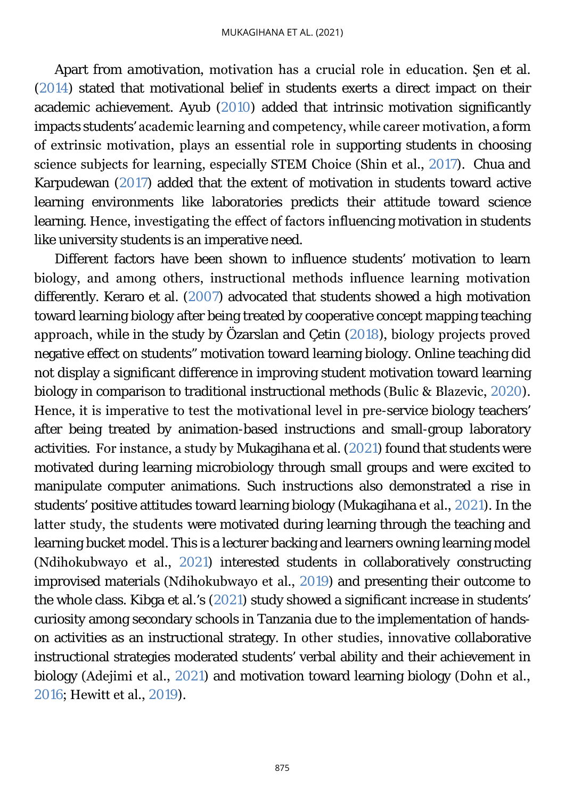Apart from *amotivation*, motivation has a crucial role in education. Şen et al. [\(2014\)](#page-17-3) stated that motivational belief in students exerts a direct impact on their academic achievement. Ayub [\(2010\)](#page-15-1) added that intrinsic motivation significantly impacts students' academic learning and competency, while career motivation, a form of extrinsic motivation, plays an essential role in supporting students in choosing science subjects for learning, especially STEM Choice (Shin et al., [2017\)](#page-18-0). Chua and Karpudewan [\(2017\)](#page-15-2) added that the extent of motivation in students toward active learning environments like laboratories predicts their attitude toward science learning. Hence, investigating the effect of factors influencing motivation in students like university students is an imperative need.

Different factors have been shown to influence students' motivation to learn biology, and among others, instructional methods influence learning motivation differently. Keraro et al. [\(2007\)](#page-16-6) advocated that students showed a high motivation toward learning biology after being treated by cooperative concept mapping teaching approach, while in the study by Özarslan and Çetin [\(2018\)](#page-17-6), biology projects proved negative effect on students" motivation toward learning biology. Online teaching did not display a significant difference in improving student motivation toward learning biology in comparison to traditional instructional methods (Bulic & Blazevic, [2020\)](#page-15-3). Hence, it is imperative to test the motivational level in pre-service biology teachers' after being treated by animation-based instructions and small-group laboratory activities. For instance, a study by Mukagihana et al. [\(2021\)](#page-17-7) found that students were motivated during learning microbiology through small groups and were excited to manipulate computer animations. Such instructions also demonstrated a rise in students' positive attitudes toward learning biology (Mukagihana et al., [2021\)](#page-17-7). In the latter study, the students were motivated during learning through the teaching and learning bucket model. This is a lecturer backing and learners owning learning model (Ndihokubwayo et al., [2021\)](#page-17-8) interested students in collaboratively constructing improvised materials (Ndihokubwayo et al., [2019\)](#page-17-9) and presenting their outcome to the whole class. Kibga et al.'s [\(2021\)](#page-16-7) study showed a significant increase in students' curiosity among secondary schools in Tanzania due to the implementation of handson activities as an instructional strategy. In other studies, innovative collaborative instructional strategies moderated students' verbal ability and their achievement in biology (Adejimi et al., [2021\)](#page-15-4) and motivation toward learning biology (Dohn et al., [2016](#page-16-1); Hewitt et al., [2019\)](#page-16-8).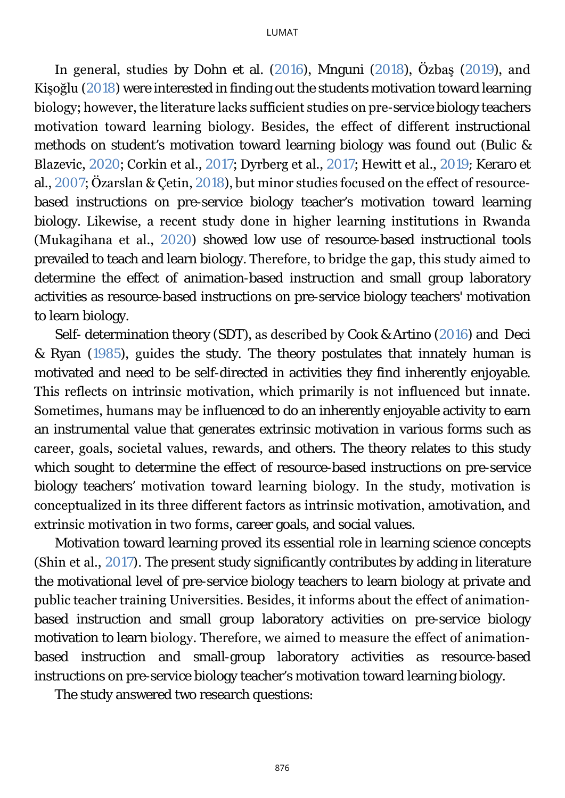In general, studies by Dohn et al. [\(2016\)](#page-16-1), Mnguni [\(2018](#page-17-10)), Özbaş [\(2019](#page-17-0)), and Kişoğlu [\(2018\)](#page-17-11) were interested in finding out the students motivation toward learning biology; however, the literature lacks sufficient studies on pre-service biology teachers motivation toward learning biology. Besides, the effect of different instructional methods on student's motivation toward learning biology was found out (Bulic & Blazevic, [2020](#page-15-3); Corkin et al., [2017](#page-16-9); Dyrberg et al., [2017](#page-16-10); Hewitt et al., [2019;](#page-16-8) Keraro et al., [2007](#page-16-6); Özarslan & Çetin, [2018\)](#page-17-6), but minor studies focused on the effect of resourcebased instructions on pre-service biology teacher's motivation toward learning biology. Likewise, a recent study done in higher learning institutions in Rwanda (Mukagihana et al., [2020\)](#page-17-12) showed low use of resource-based instructional tools prevailed to teach and learn biology. Therefore, to bridge the gap, this study aimed to determine the effect of animation-based instruction and small group laboratory activities as resource-based instructions on pre-service biology teachers' motivation to learn biology.

Self- determination theory (SDT), as described by Cook & Artino [\(2016\)](#page-16-11) and Deci & Ryan [\(1985\)](#page-16-12), guides the study. The theory postulates that innately human is motivated and need to be self-directed in activities they find inherently enjoyable. This reflects on intrinsic motivation, which primarily is not influenced but innate. Sometimes, humans may be influenced to do an inherently enjoyable activity to earn an instrumental value that generates extrinsic motivation in various forms such as career, goals, societal values, rewards, and others. The theory relates to this study which sought to determine the effect of resource-based instructions on pre-service biology teachers' motivation toward learning biology. In the study, motivation is conceptualized in its three different factors as intrinsic motivation, *amotivation*, and extrinsic motivation in two forms, career goals, and social values.

Motivation toward learning proved its essential role in learning science concepts (Shin et al., [2017\)](#page-18-0). The present study significantly contributes by adding in literature the motivational level of pre-service biology teachers to learn biology at private and public teacher training Universities. Besides, it informs about the effect of animationbased instruction and small group laboratory activities on pre-service biology motivation to learn biology. Therefore, we aimed to measure the effect of animationbased instruction and small-group laboratory activities as resource-based instructions on pre-service biology teacher's motivation toward learning biology.

The study answered two research questions: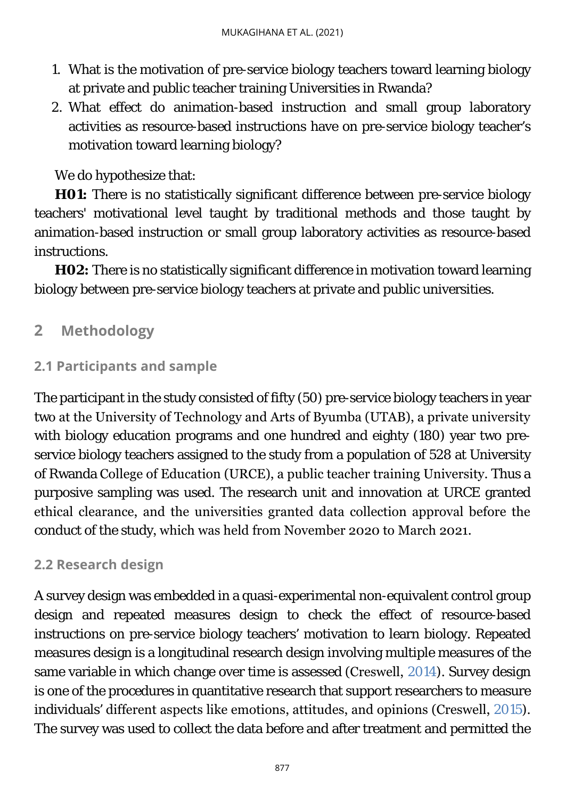- 1. What is the motivation of pre-service biology teachers toward learning biology at private and public teacher training Universities in Rwanda?
- 2. What effect do animation-based instruction and small group laboratory activities as resource-based instructions have on pre-service biology teacher's motivation toward learning biology?

## We do hypothesize that:

**H01:** There is no statistically significant difference between pre-service biology teachers' motivational level taught by traditional methods and those taught by animation-based instruction or small group laboratory activities as resource-based instructions.

**H02:** There is no statistically significant difference in motivation toward learning biology between pre-service biology teachers at private and public universities.

# **2 Methodology**

# **2.1 Participants and sample**

The participant in the study consisted of fifty (50) pre-service biology teachers in year two at the University of Technology and Arts of Byumba (UTAB), a private university with biology education programs and one hundred and eighty (180) year two preservice biology teachers assigned to the study from a population of 528 at University of Rwanda College of Education (URCE), a public teacher training University. Thus a purposive sampling was used. The research unit and innovation at URCE granted ethical clearance, and the universities granted data collection approval before the conduct of the study, which was held from November 2020 to March 2021.

### **2.2 Research design**

A survey design was embedded in a quasi-experimental non-equivalent control group design and repeated measures design to check the effect of resource-based instructions on pre-service biology teachers' motivation to learn biology. Repeated measures design is a longitudinal research design involving multiple measures of the same variable in which change over time is assessed (Creswell, [2014\)](#page-16-13). Survey design is one of the procedures in quantitative research that support researchers to measure individuals' different aspects like emotions, attitudes, and opinions (Creswell, [2015\)](#page-16-14). The survey was used to collect the data before and after treatment and permitted the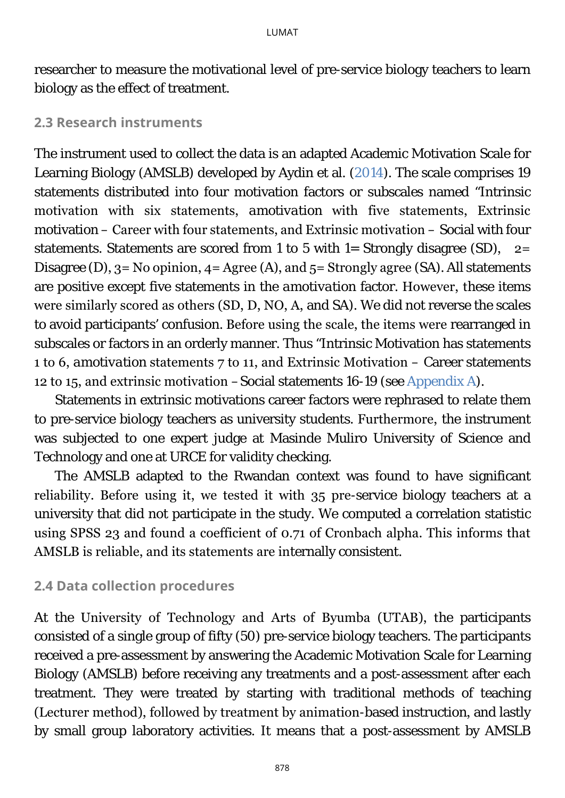researcher to measure the motivational level of pre-service biology teachers to learn biology as the effect of treatment.

#### **2.3 Research instruments**

The instrument used to collect the data is an adapted Academic Motivation Scale for Learning Biology (AMSLB) developed by Aydin et al. [\(2014\)](#page-15-5). The scale comprises 19 statements distributed into four motivation factors or subscales named "Intrinsic motivation with six statements, *amotivation* with five statements, Extrinsic motivation – Career with four statements, and Extrinsic motivation – Social with four statements. Statements are scored from 1 to 5 with  $1=$  Strongly disagree (SD),  $2=$ Disagree (D), 3 = No opinion, 4 = Agree (A), and 5 = Strongly agree (SA). All statements are positive except five statements in the *amotivation* factor. However, these items were similarly scored as others (SD, D, NO, A, and SA). We did not reverse the scales to avoid participants' confusion. Before using the scale, the items were rearranged in subscales or factors in an orderly manner. Thus "Intrinsic Motivation has statements 1 to 6, *amotivation* statements 7 to 11, and Extrinsic Motivation – Career statements 12 to 15, and extrinsic motivation –Social statements 16-19 (see [Appendix A\)](#page-18-1).

Statements in extrinsic motivations career factors were rephrased to relate them to pre-service biology teachers as university students. Furthermore, the instrument was subjected to one expert judge at Masinde Muliro University of Science and Technology and one at URCE for validity checking.

The AMSLB adapted to the Rwandan context was found to have significant reliability. Before using it, we tested it with 35 pre-service biology teachers at a university that did not participate in the study. We computed a correlation statistic using SPSS 23 and found a coefficient of 0.71 of Cronbach alpha. This informs that AMSLB is reliable, and its statements are internally consistent.

#### **2.4 Data collection procedures**

At the University of Technology and Arts of Byumba (UTAB), the participants consisted of a single group of fifty (50) pre-service biology teachers. The participants received a pre-assessment by answering the Academic Motivation Scale for Learning Biology (AMSLB) before receiving any treatments and a post-assessment after each treatment. They were treated by starting with traditional methods of teaching (Lecturer method), followed by treatment by animation-based instruction, and lastly by small group laboratory activities. It means that a post-assessment by AMSLB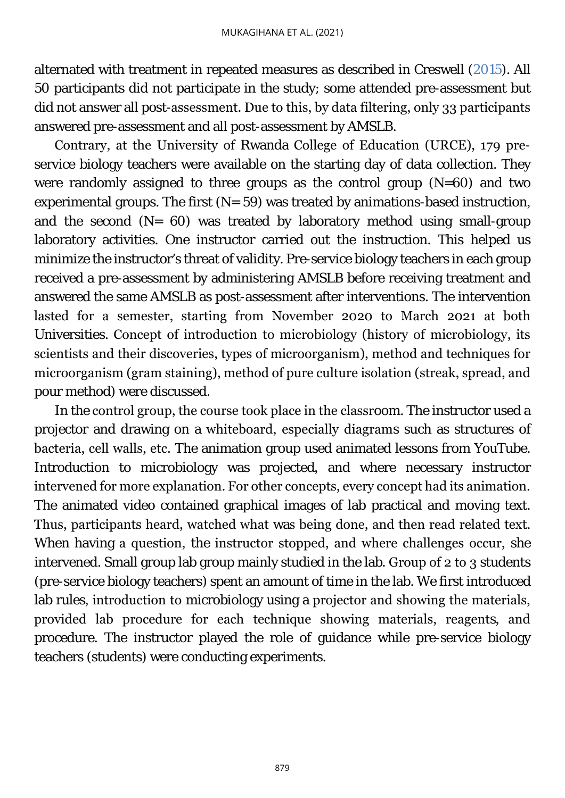alternated with treatment in repeated measures as described in Creswell [\(2015\)](#page-16-14). All 50 participants did not participate in the study; some attended pre-assessment but did not answer all post-assessment. Due to this, by data filtering, only 33 participants answered pre-assessment and all post-assessment by AMSLB.

Contrary, at the University of Rwanda College of Education (URCE), 179 preservice biology teachers were available on the starting day of data collection. They were randomly assigned to three groups as the control group (N=60) and two experimental groups. The first  $(N= 59)$  was treated by animations-based instruction, and the second  $(N= 60)$  was treated by laboratory method using small-group laboratory activities. One instructor carried out the instruction. This helped us minimize the instructor's threat of validity. Pre-service biology teachers in each group received a pre-assessment by administering AMSLB before receiving treatment and answered the same AMSLB as post-assessment after interventions. The intervention lasted for a semester, starting from November 2020 to March 2021 at both Universities. Concept of introduction to microbiology (history of microbiology, its scientists and their discoveries, types of microorganism), method and techniques for microorganism (gram staining), method of pure culture isolation (streak, spread, and pour method) were discussed.

In the control group, the course took place in the classroom. The instructor used a projector and drawing on a whiteboard, especially diagrams such as structures of bacteria, cell walls, etc. The animation group used animated lessons from YouTube. Introduction to microbiology was projected, and where necessary instructor intervened for more explanation. For other concepts, every concept had its animation. The animated video contained graphical images of lab practical and moving text. Thus, participants heard, watched what was being done, and then read related text. When having a question, the instructor stopped, and where challenges occur, she intervened. Small group lab group mainly studied in the lab. Group of 2 to 3 students (pre-service biology teachers) spent an amount of time in the lab. We first introduced lab rules, introduction to microbiology using a projector and showing the materials, provided lab procedure for each technique showing materials, reagents, and procedure. The instructor played the role of guidance while pre-service biology teachers (students) were conducting experiments.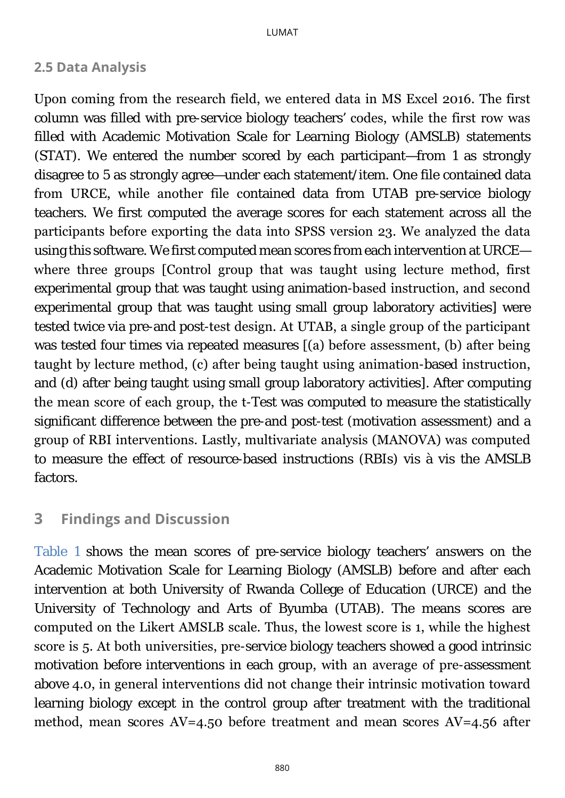#### **2.5 Data Analysis**

Upon coming from the research field, we entered data in MS Excel 2016. The first column was filled with pre-service biology teachers' codes, while the first row was filled with Academic Motivation Scale for Learning Biology (AMSLB) statements (STAT). We entered the number scored by each participant—from 1 as strongly disagree to 5 as strongly agree—under each statement/item. One file contained data from URCE, while another file contained data from UTAB pre-service biology teachers. We first computed the average scores for each statement across all the participants before exporting the data into SPSS version 23. We analyzed the data using this software. We first computed mean scores from each intervention at URCE where three groups [Control group that was taught using lecture method, first experimental group that was taught using animation-based instruction, and second experimental group that was taught using small group laboratory activities] were tested twice via pre-and post-test design. At UTAB, a single group of the participant was tested four times via repeated measures [(a) before assessment, (b) after being taught by lecture method, (c) after being taught using animation-based instruction, and (d) after being taught using small group laboratory activities]. After computing the mean score of each group, the t-Test was computed to measure the statistically significant difference between the pre-and post-test (motivation assessment) and a group of RBI interventions. Lastly, multivariate analysis (MANOVA) was computed to measure the effect of resource-based instructions (RBIs) vis à vis the AMSLB factors.

#### **3 Findings and Discussion**

[Table 1](#page-9-0) shows the mean scores of pre-service biology teachers' answers on the Academic Motivation Scale for Learning Biology (AMSLB) before and after each intervention at both University of Rwanda College of Education (URCE) and the University of Technology and Arts of Byumba (UTAB). The means scores are computed on the Likert AMSLB scale. Thus, the lowest score is 1, while the highest score is 5. At both universities, pre-service biology teachers showed a good intrinsic motivation before interventions in each group, with an average of pre-assessment above 4.0, in general interventions did not change their intrinsic motivation toward learning biology except in the control group after treatment with the traditional method, mean scores AV=4.50 before treatment and mean scores AV=4.56 after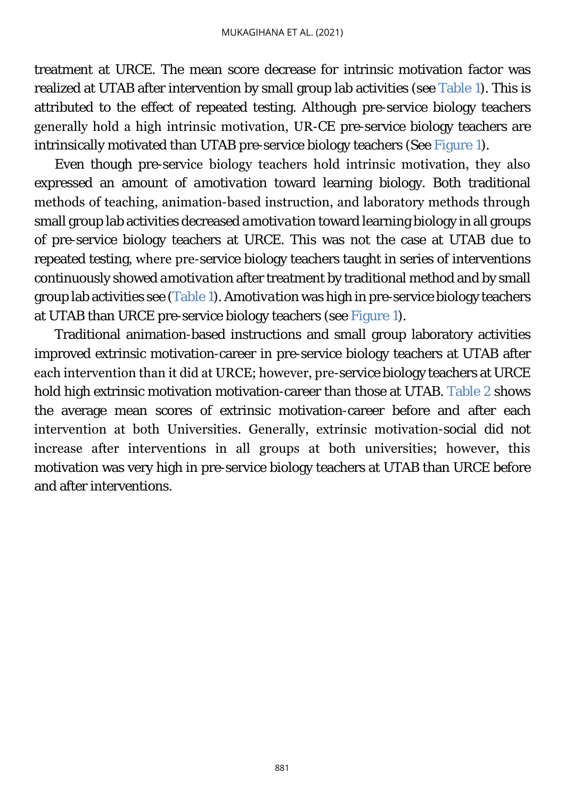treatment at URCE. The mean score decrease for intrinsic motivation factor was realized at UTAB after intervention by small group lab activities (see [Table 1\)](#page-9-0). This is attributed to the effect of repeated testing. Although pre-service biology teachers generally hold a high intrinsic motivation, UR-CE pre-service biology teachers are intrinsically motivated than UTAB pre-service biology teachers (See [Figure 1\)](#page-11-0).

Even though pre-service biology teachers hold intrinsic motivation, they also expressed an amount of *amotivation* toward learning biology. Both traditional methods of teaching, animation-based instruction, and laboratory methods through small group lab activities decreased *amotivation* toward learning biology in all groups of pre-service biology teachers at URCE. This was not the case at UTAB due to repeated testing, where pre-service biology teachers taught in series of interventions continuously showed *amotivation* after treatment by traditional method and by small group lab activities see [\(Table 1\)](#page-9-0). *Amotivation* was high in pre-service biology teachers at UTAB than URCE pre-service biology teachers (see [Figure 1\)](#page-11-0).

Traditional animation-based instructions and small group laboratory activities improved extrinsic motivation-career in pre-service biology teachers at UTAB after each intervention than it did at URCE; however, pre-service biology teachers at URCE hold high extrinsic motivation motivation-career than those at UTAB. [Table 2](#page-12-0) shows the average mean scores of extrinsic motivation-career before and after each intervention at both Universities. Generally, extrinsic motivation-social did not increase after interventions in all groups at both universities; however, this motivation was very high in pre-service biology teachers at UTAB than URCE before and after interventions.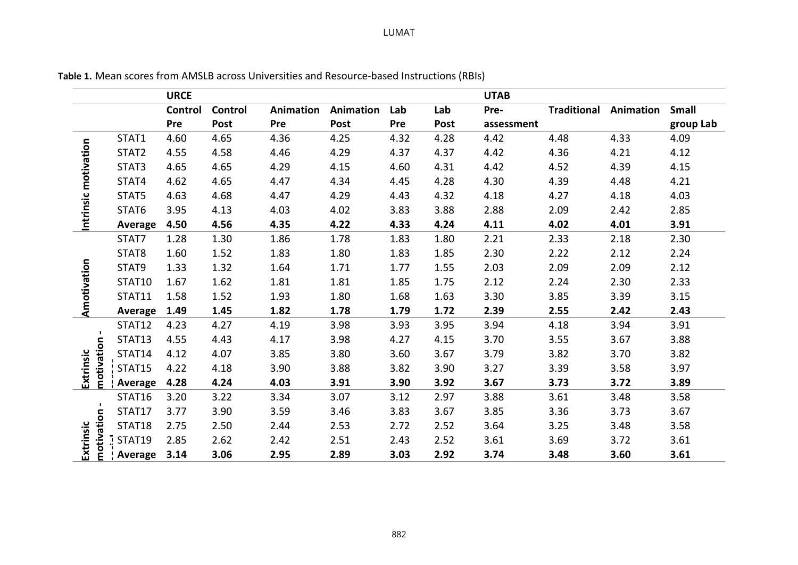#### LUMAT

<span id="page-9-0"></span>

|                         |                | <b>URCE</b> |         |           |           |      |      | <b>UTAB</b> |      |                              |           |
|-------------------------|----------------|-------------|---------|-----------|-----------|------|------|-------------|------|------------------------------|-----------|
|                         |                | Control     | Control | Animation | Animation | Lab  | Lab  | Pre-        |      | <b>Traditional Animation</b> | Small     |
|                         |                | Pre         | Post    | Pre       | Post      | Pre  | Post | assessment  |      |                              | group Lab |
| Intrinsic motivation    | STAT1          | 4.60        | 4.65    | 4.36      | 4.25      | 4.32 | 4.28 | 4.42        | 4.48 | 4.33                         | 4.09      |
|                         | STAT2          | 4.55        | 4.58    | 4.46      | 4.29      | 4.37 | 4.37 | 4.42        | 4.36 | 4.21                         | 4.12      |
|                         | STAT3          | 4.65        | 4.65    | 4.29      | 4.15      | 4.60 | 4.31 | 4.42        | 4.52 | 4.39                         | 4.15      |
|                         | STAT4          | 4.62        | 4.65    | 4.47      | 4.34      | 4.45 | 4.28 | 4.30        | 4.39 | 4.48                         | 4.21      |
|                         | STAT5          | 4.63        | 4.68    | 4.47      | 4.29      | 4.43 | 4.32 | 4.18        | 4.27 | 4.18                         | 4.03      |
|                         | STAT6          | 3.95        | 4.13    | 4.03      | 4.02      | 3.83 | 3.88 | 2.88        | 2.09 | 2.42                         | 2.85      |
|                         | Average        | 4.50        | 4.56    | 4.35      | 4.22      | 4.33 | 4.24 | 4.11        | 4.02 | 4.01                         | 3.91      |
| Amotivation             | STAT7          | 1.28        | 1.30    | 1.86      | 1.78      | 1.83 | 1.80 | 2.21        | 2.33 | 2.18                         | 2.30      |
|                         | STAT8          | 1.60        | 1.52    | 1.83      | 1.80      | 1.83 | 1.85 | 2.30        | 2.22 | 2.12                         | 2.24      |
|                         | STAT9          | 1.33        | 1.32    | 1.64      | 1.71      | 1.77 | 1.55 | 2.03        | 2.09 | 2.09                         | 2.12      |
|                         | STAT10         | 1.67        | 1.62    | 1.81      | 1.81      | 1.85 | 1.75 | 2.12        | 2.24 | 2.30                         | 2.33      |
|                         | STAT11         | 1.58        | 1.52    | 1.93      | 1.80      | 1.68 | 1.63 | 3.30        | 3.85 | 3.39                         | 3.15      |
|                         | <b>Average</b> | 1.49        | 1.45    | 1.82      | 1.78      | 1.79 | 1.72 | 2.39        | 2.55 | 2.42                         | 2.43      |
|                         | STAT12         | 4.23        | 4.27    | 4.19      | 3.98      | 3.93 | 3.95 | 3.94        | 4.18 | 3.94                         | 3.91      |
|                         | STAT13         | 4.55        | 4.43    | 4.17      | 3.98      | 4.27 | 4.15 | 3.70        | 3.55 | 3.67                         | 3.88      |
| motivation<br>Extrinsic | STAT14         | 4.12        | 4.07    | 3.85      | 3.80      | 3.60 | 3.67 | 3.79        | 3.82 | 3.70                         | 3.82      |
|                         | <b>STAT15</b>  | 4.22        | 4.18    | 3.90      | 3.88      | 3.82 | 3.90 | 3.27        | 3.39 | 3.58                         | 3.97      |
|                         | Average        | 4.28        | 4.24    | 4.03      | 3.91      | 3.90 | 3.92 | 3.67        | 3.73 | 3.72                         | 3.89      |
| motivation<br>Extrinsic | STAT16         | 3.20        | 3.22    | 3.34      | 3.07      | 3.12 | 2.97 | 3.88        | 3.61 | 3.48                         | 3.58      |
|                         | STAT17         | 3.77        | 3.90    | 3.59      | 3.46      | 3.83 | 3.67 | 3.85        | 3.36 | 3.73                         | 3.67      |
|                         | STAT18         | 2.75        | 2.50    | 2.44      | 2.53      | 2.72 | 2.52 | 3.64        | 3.25 | 3.48                         | 3.58      |
|                         | <b>STAT19</b>  | 2.85        | 2.62    | 2.42      | 2.51      | 2.43 | 2.52 | 3.61        | 3.69 | 3.72                         | 3.61      |
|                         | Average        | 3.14        | 3.06    | 2.95      | 2.89      | 3.03 | 2.92 | 3.74        | 3.48 | 3.60                         | 3.61      |

**Table 1.** Mean scores from AMSLB across Universities and Resource-based Instructions (RBIs)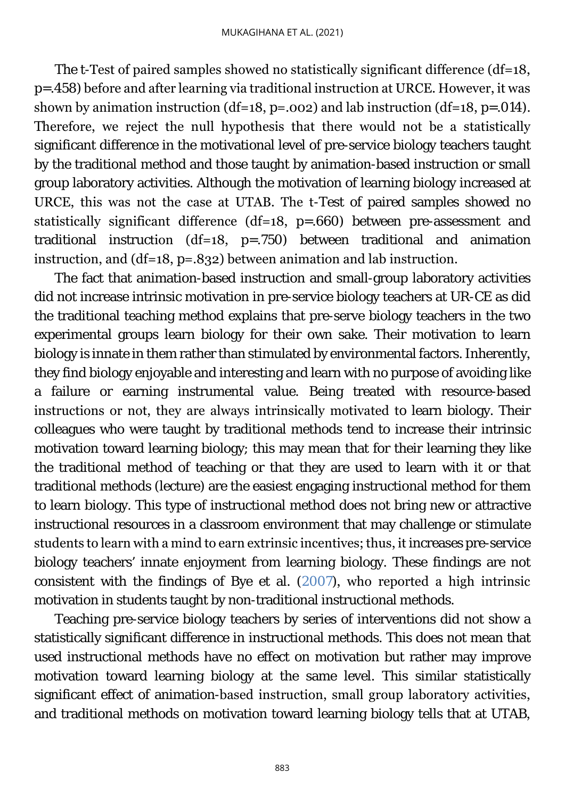The t-Test of paired samples showed no statistically significant difference (df=18, *p*=.458) before and after learning via traditional instruction at URCE. However, it was shown by animation instruction (df=18, *p*=.002) and lab instruction (df=18, *p*=.014). Therefore, we reject the null hypothesis that there would not be a statistically significant difference in the motivational level of pre-service biology teachers taught by the traditional method and those taught by animation-based instruction or small group laboratory activities. Although the motivation of learning biology increased at URCE, this was not the case at UTAB. The t-Test of paired samples showed no statistically significant difference (df=18, *p*=.660) between pre-assessment and traditional instruction (df=18, *p*=.750) between traditional and animation instruction, and (df=18, *p*=.832) between animation and lab instruction.

The fact that animation-based instruction and small-group laboratory activities did not increase intrinsic motivation in pre-service biology teachers at UR-CE as did the traditional teaching method explains that pre-serve biology teachers in the two experimental groups learn biology for their own sake. Their motivation to learn biology is innate in them rather than stimulated by environmental factors. Inherently, they find biology enjoyable and interesting and learn with no purpose of avoiding like a failure or earning instrumental value. Being treated with resource-based instructions or not, they are always intrinsically motivated to learn biology. Their colleagues who were taught by traditional methods tend to increase their intrinsic motivation toward learning biology; this may mean that for their learning they like the traditional method of teaching or that they are used to learn with it or that traditional methods (lecture) are the easiest engaging instructional method for them to learn biology. This type of instructional method does not bring new or attractive instructional resources in a classroom environment that may challenge or stimulate students to learn with a mind to earn extrinsic incentives; thus, it increases pre-service biology teachers' innate enjoyment from learning biology. These findings are not consistent with the findings of Bye et al. [\(2007\)](#page-15-6), who reported a high intrinsic motivation in students taught by non-traditional instructional methods.

Teaching pre-service biology teachers by series of interventions did not show a statistically significant difference in instructional methods. This does not mean that used instructional methods have no effect on motivation but rather may improve motivation toward learning biology at the same level. This similar statistically significant effect of animation-based instruction, small group laboratory activities, and traditional methods on motivation toward learning biology tells that at UTAB,

883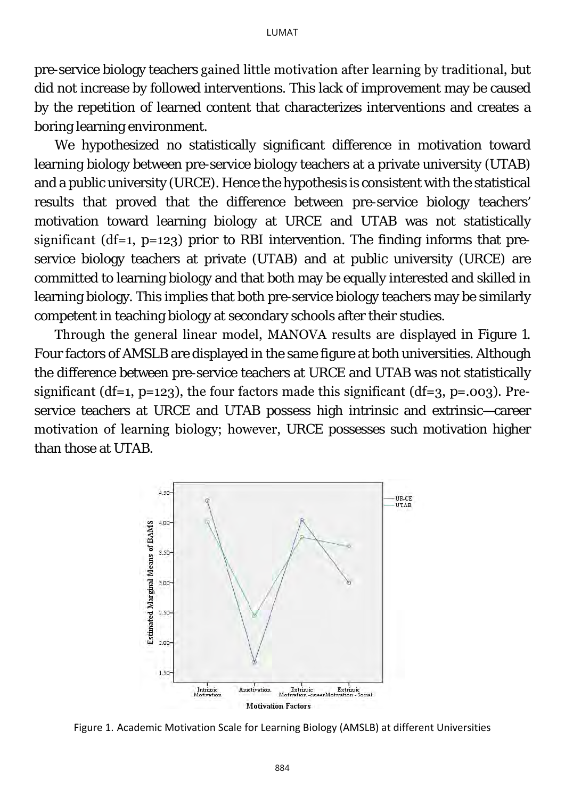pre-service biology teachers gained little motivation after learning by traditional, but did not increase by followed interventions. This lack of improvement may be caused by the repetition of learned content that characterizes interventions and creates a boring learning environment.

We hypothesized no statistically significant difference in motivation toward learning biology between pre-service biology teachers at a private university (UTAB) and a public university (URCE). Hence the hypothesis is consistent with the statistical results that proved that the difference between pre-service biology teachers' motivation toward learning biology at URCE and UTAB was not statistically significant ( $df=1$ ,  $p=123$ ) prior to RBI intervention. The finding informs that preservice biology teachers at private (UTAB) and at public university (URCE) are committed to learning biology and that both may be equally interested and skilled in learning biology. This implies that both pre-service biology teachers may be similarly competent in teaching biology at secondary schools after their studies.

Through the general linear model, MANOVA results are displayed in Figure 1. Four factors of AMSLB are displayed in the same figure at both universities. Although the difference between pre-service teachers at URCE and UTAB was not statistically significant (df=1, *p*=123), the four factors made this significant (df=3, *p*=.003). Preservice teachers at URCE and UTAB possess high intrinsic and extrinsic—career motivation of learning biology; however, URCE possesses such motivation higher than those at UTAB.

<span id="page-11-0"></span>

Figure 1. Academic Motivation Scale for Learning Biology (AMSLB) at different Universities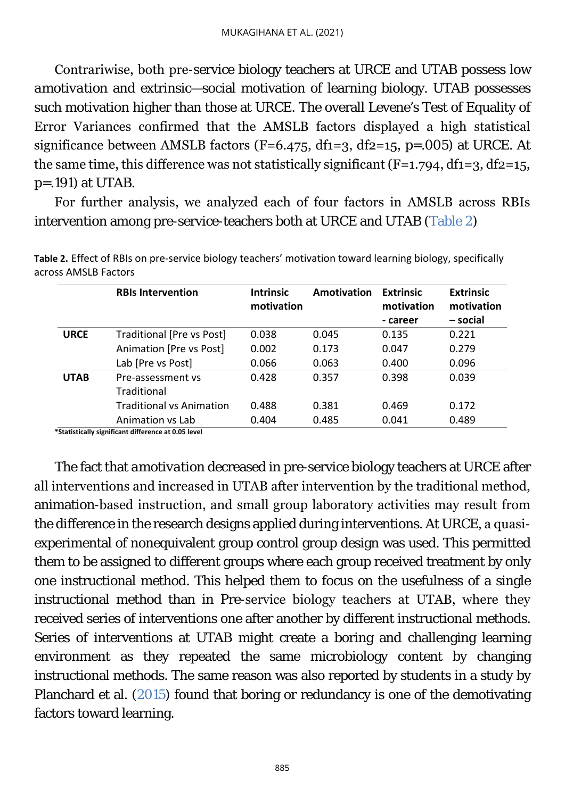Contrariwise, both pre-service biology teachers at URCE and UTAB possess low *amotivation* and extrinsic—social motivation of learning biology. UTAB possesses such motivation higher than those at URCE. The overall Levene's Test of Equality of Error Variances confirmed that the AMSLB factors displayed a high statistical significance between AMSLB factors (F=6.475, df1=3, df2=15, *p*=.005) at URCE. At the same time, this difference was not statistically significant (F=1.794, df1=3, df2=15, *p*=.191) at UTAB.

For further analysis, we analyzed each of four factors in AMSLB across RBIs intervention among pre-service-teachers both at URCE and UTAB [\(Table 2\)](#page-12-0)

<span id="page-12-0"></span>

|             | <b>RBIs Intervention</b>         | <b>Intrinsic</b><br>motivation | Amotivation | <b>Extrinsic</b><br>motivation<br>- career | <b>Extrinsic</b><br>motivation<br>- social |
|-------------|----------------------------------|--------------------------------|-------------|--------------------------------------------|--------------------------------------------|
| <b>URCE</b> | Traditional [Pre vs Post]        | 0.038                          | 0.045       | 0.135                                      | 0.221                                      |
|             | Animation [Pre vs Post]          | 0.002                          | 0.173       | 0.047                                      | 0.279                                      |
|             | Lab [Pre vs Post]                | 0.066                          | 0.063       | 0.400                                      | 0.096                                      |
| <b>UTAB</b> | Pre-assessment vs<br>Traditional | 0.428                          | 0.357       | 0.398                                      | 0.039                                      |
|             | <b>Traditional vs Animation</b>  | 0.488                          | 0.381       | 0.469                                      | 0.172                                      |
|             | Animation vs Lab                 | 0.404                          | 0.485       | 0.041                                      | 0.489                                      |

**Table 2.** Effect of RBIs on pre-service biology teachers' motivation toward learning biology, specifically across AMSLB Factors

**\*Statistically significant difference at 0.05 level**

The fact that *amotivation* decreased in pre-service biology teachers at URCE after all interventions and increased in UTAB after intervention by the traditional method, animation-based instruction, and small group laboratory activities may result from the difference in the research designs applied during interventions. At URCE, a quasiexperimental of nonequivalent group control group design was used. This permitted them to be assigned to different groups where each group received treatment by only one instructional method. This helped them to focus on the usefulness of a single instructional method than in Pre-service biology teachers at UTAB, where they received series of interventions one after another by different instructional methods. Series of interventions at UTAB might create a boring and challenging learning environment as they repeated the same microbiology content by changing instructional methods. The same reason was also reported by students in a study by Planchard et al. [\(2015\)](#page-17-13) found that boring or redundancy is one of the demotivating factors toward learning.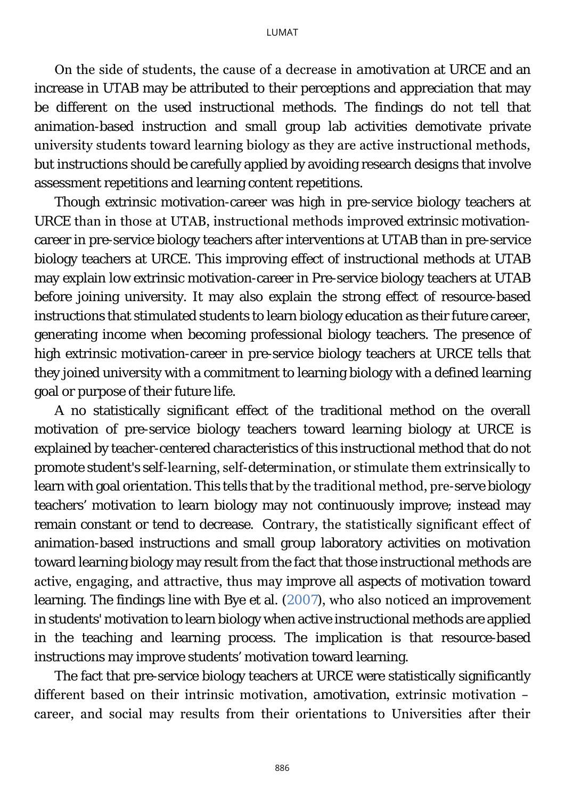On the side of students, the cause of a decrease in *amotivation* at URCE and an increase in UTAB may be attributed to their perceptions and appreciation that may be different on the used instructional methods. The findings do not tell that animation-based instruction and small group lab activities demotivate private university students toward learning biology as they are active instructional methods, but instructions should be carefully applied by avoiding research designs that involve assessment repetitions and learning content repetitions.

Though extrinsic motivation-career was high in pre-service biology teachers at URCE than in those at UTAB, instructional methods improved extrinsic motivationcareer in pre-service biology teachers after interventions at UTAB than in pre-service biology teachers at URCE. This improving effect of instructional methods at UTAB may explain low extrinsic motivation-career in Pre-service biology teachers at UTAB before joining university. It may also explain the strong effect of resource-based instructions that stimulated students to learn biology education as their future career, generating income when becoming professional biology teachers. The presence of high extrinsic motivation-career in pre-service biology teachers at URCE tells that they joined university with a commitment to learning biology with a defined learning goal or purpose of their future life.

A no statistically significant effect of the traditional method on the overall motivation of pre-service biology teachers toward learning biology at URCE is explained by teacher-centered characteristics of this instructional method that do not promote student's self-learning, self-determination, or stimulate them extrinsically to learn with goal orientation. This tells that by the traditional method, pre-serve biology teachers' motivation to learn biology may not continuously improve; instead may remain constant or tend to decrease. Contrary, the statistically significant effect of animation-based instructions and small group laboratory activities on motivation toward learning biology may result from the fact that those instructional methods are active, engaging, and attractive, thus may improve all aspects of motivation toward learning. The findings line with Bye et al. [\(2007\)](#page-15-6), who also noticed an improvement in students' motivation to learn biology when active instructional methods are applied in the teaching and learning process. The implication is that resource-based instructions may improve students' motivation toward learning.

The fact that pre-service biology teachers at URCE were statistically significantly different based on their intrinsic motivation, *amotivation*, extrinsic motivation – career, and social may results from their orientations to Universities after their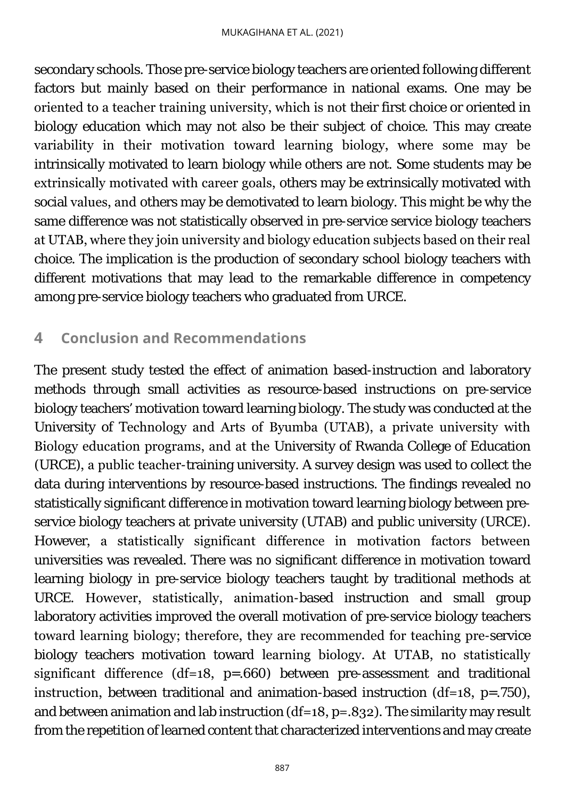secondary schools. Those pre-service biology teachers are oriented following different factors but mainly based on their performance in national exams. One may be oriented to a teacher training university, which is not their first choice or oriented in biology education which may not also be their subject of choice. This may create variability in their motivation toward learning biology, where some may be intrinsically motivated to learn biology while others are not. Some students may be extrinsically motivated with career goals, others may be extrinsically motivated with social values, and others may be demotivated to learn biology. This might be why the same difference was not statistically observed in pre-service service biology teachers at UTAB, where they join university and biology education subjects based on their real choice. The implication is the production of secondary school biology teachers with different motivations that may lead to the remarkable difference in competency among pre-service biology teachers who graduated from URCE.

### **4 Conclusion and Recommendations**

The present study tested the effect of animation based-instruction and laboratory methods through small activities as resource-based instructions on pre-service biology teachers' motivation toward learning biology. The study was conducted at the University of Technology and Arts of Byumba (UTAB), a private university with Biology education programs, and at the University of Rwanda College of Education (URCE), a public teacher-training university. A survey design was used to collect the data during interventions by resource-based instructions. The findings revealed no statistically significant difference in motivation toward learning biology between preservice biology teachers at private university (UTAB) and public university (URCE). However, a statistically significant difference in motivation factors between universities was revealed. There was no significant difference in motivation toward learning biology in pre-service biology teachers taught by traditional methods at URCE. However, statistically, animation-based instruction and small group laboratory activities improved the overall motivation of pre-service biology teachers toward learning biology; therefore, they are recommended for teaching pre-service biology teachers motivation toward learning biology. At UTAB, no statistically significant difference (df=18, *p*=.660) between pre-assessment and traditional instruction, between traditional and animation-based instruction (df=18, *p*=.750), and between animation and lab instruction (df=18, *p*=.832). The similarity may result from the repetition of learned content that characterized interventions and may create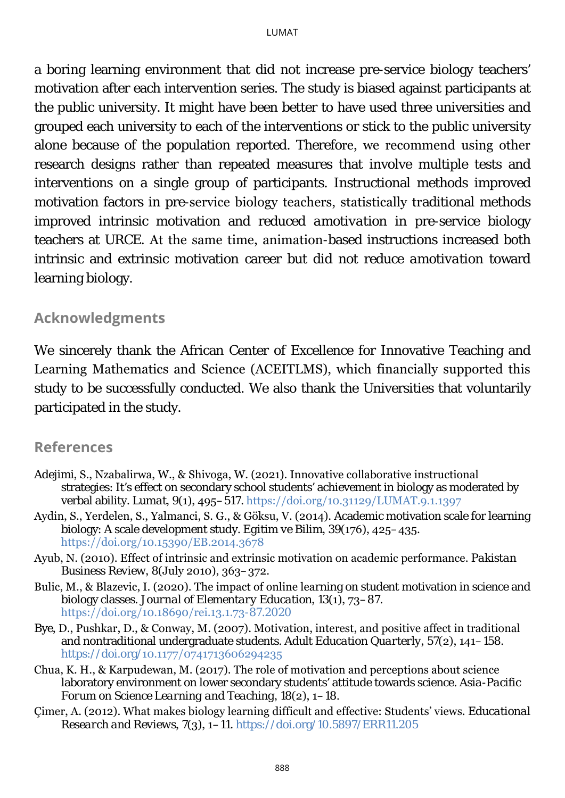a boring learning environment that did not increase pre-service biology teachers' motivation after each intervention series. The study is biased against participants at the public university. It might have been better to have used three universities and grouped each university to each of the interventions or stick to the public university alone because of the population reported. Therefore, we recommend using other research designs rather than repeated measures that involve multiple tests and interventions on a single group of participants. Instructional methods improved motivation factors in pre-service biology teachers, statistically traditional methods improved intrinsic motivation and reduced *amotivation* in pre-service biology teachers at URCE. At the same time, animation-based instructions increased both intrinsic and extrinsic motivation career but did not reduce *amotivation* toward learning biology.

#### **Acknowledgments**

We sincerely thank the African Center of Excellence for Innovative Teaching and Learning Mathematics and Science (ACEITLMS), which financially supported this study to be successfully conducted. We also thank the Universities that voluntarily participated in the study.

#### **References**

- <span id="page-15-4"></span>Adejimi, S., Nzabalirwa, W., & Shivoga, W. (2021). Innovative collaborative instructional strategies: It's effect on secondary school students' achievement in biology as moderated by verbal ability. *Lumat*, *9*(1), 495–517. <https://doi.org/10.31129/LUMAT.9.1.1397>
- <span id="page-15-5"></span>Aydin, S., Yerdelen, S., Yalmanci, S. G., & Göksu, V. (2014). Academic motivation scale for learning biology: A scale development study. *Egitim ve Bilim*, *39*(176), 425–435. <https://doi.org/10.15390/EB.2014.3678>
- <span id="page-15-1"></span>Ayub, N. (2010). Effect of intrinsic and extrinsic motivation on academic performance. *Pakistan Business Review*, *8*(July 2010), 363–372.
- <span id="page-15-3"></span>Bulic, M., & Blazevic, I. (2020). The impact of online learning on student motivation in science and biology classes. *Journal of Elementary Education*, *13*(1), 73–87. [https://doi.org/10.18690/rei.13.1.73](https://doi.org/10.18690/rei.13.1.73-87.2020)-87.2020
- <span id="page-15-6"></span>Bye, D., Pushkar, D., & Conway, M. (2007). Motivation, interest, and positive affect in traditional and nontraditional undergraduate students. *Adult Education Quarterly*, *57*(2), 141–158. https://doi.org/[10.1177/0741713606294235](https://doi.org/10.1177/0741713606294235)
- <span id="page-15-2"></span>Chua, K. H., & Karpudewan, M. (2017). The role of motivation and perceptions about science laboratory environment on lower secondary students' attitude towards science. *Asia-Pacific Forum on Science Learning and Teaching*, *18*(2), 1–18.
- <span id="page-15-0"></span>Çimer, A. (2012). What makes biology learning difficult and effective: Students' views. *Educational Research and Reviews*, *7*(3), 1–11.<https://doi.org/10.5897/ERR11.205>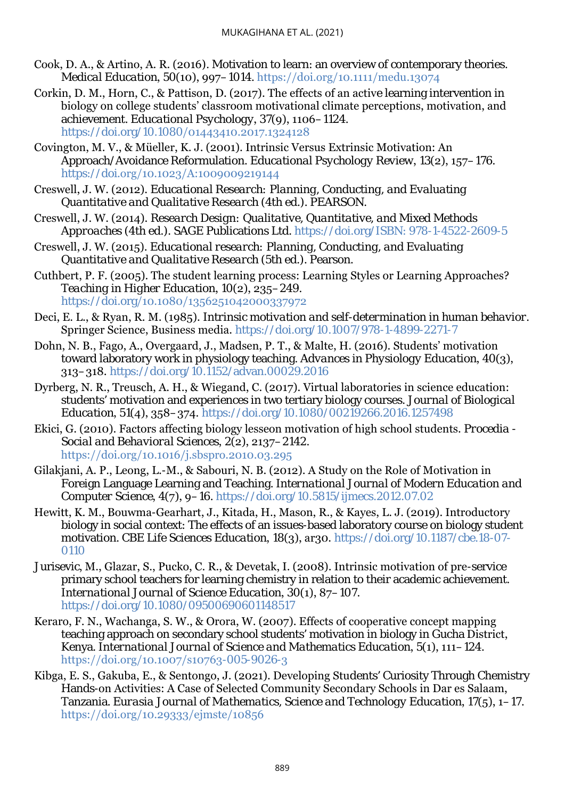- <span id="page-16-11"></span>Cook, D. A., & Artino, A. R. (2016). Motivation to learn: an overview of contemporary theories. *Medical Education*, *50*(10), 997–1014. <https://doi.org/10.1111/medu.13074>
- <span id="page-16-9"></span>Corkin, D. M., Horn, C., & Pattison, D. (2017). The effects of an active learning intervention in biology on college students' classroom motivational climate perceptions, motivation, and achievement. *Educational Psychology*, *37*(9), 1106–1124. https://doi.org/10.1080[/01443410.2017.1324128](https://doi.org/10.1080/01443410.2017.1324128)
- <span id="page-16-3"></span>Covington, M. V., & Müeller, K. J. (2001). Intrinsic Versus Extrinsic Motivation: An Approach/Avoidance Reformulation. *Educational Psychology Review*, *13*(2), 157–176. https://doi[.org/10.1023/A:1009009219144](https://doi.org/10.1023/A:1009009219144)
- Creswell, J. W. (2012). *Educational Research: Planning, Conducting, and Evaluating Quantitative and Qualitative Research* (4th ed.). PEARSON.
- <span id="page-16-13"></span>Creswell, J. W. (2014). *Research Design: Qualitative, Quantitative, and Mixed Methods Approaches* (4th ed.). SAGE Publications Ltd. [https://doi.org/ISBN: 978-1-4522-2609-5](https://doi.org/ISBN:%20978-1-4522-2609-5)
- <span id="page-16-14"></span>Creswell, J. W. (2015). *Educational research: Planning, Conducting, and Evaluating Quantitative and Qualitative Research* (5th ed.). Pearson.
- <span id="page-16-0"></span>Cuthbert, P. F. (2005). The student learning process: Learning Styles or Learning Approaches? *Teaching in Higher Education*, *10*(2), 235–249. https://doi.org[/10.1080/1356251042000337972](https://doi.org/10.1080/1356251042000337972)
- <span id="page-16-12"></span>Deci, E. L., & Ryan, R. M. (1985). *Intrinsic motivation and self-determination in human behavior*. Springer Science, Business media. <https://doi.org/10.1007/978-1-4899-2271-7>
- <span id="page-16-1"></span>Dohn, N. B., Fago, A., Overgaard, J., Madsen, P. T., & Malte, H. (2016). Students' motivation toward laboratory work in physiology teaching. *Advances in Physiology Education*, *40*(3), 313–318. <https://doi.org/10.1152/advan.00029.2016>
- <span id="page-16-10"></span>Dyrberg, N. R., Treusch, A. H., & Wiegand, C. (2017). Virtual laboratories in science education: students' motivation and experiences in two tertiary biology courses. *Journal of Biological Education*, *51*(4), 358–374. <https://doi.org/10.1080/00219266.2016.1257498>
- <span id="page-16-5"></span>Ekici, G. (2010). Factors affecting biology lesseon motivation of high school students. *Procedia - Social and Behavioral Sciences*, *2*(2), 2137–2142. <https://doi.org/10.1016/j.sbspro.2010.03.295>
- <span id="page-16-4"></span>Gilakjani, A. P., Leong, L.-M., & Sabouri, N. B. (2012). A Study on the Role of Motivation in Foreign Language Learning and Teaching. *International Journal of Modern Education and Computer Science*, *4*(7), 9–16.<https://doi.org/10.5815/ijmecs.2012.07.02>
- <span id="page-16-8"></span>Hewitt, K. M., Bouwma-Gearhart, J., Kitada, H., Mason, R., & Kayes, L. J. (2019). Introductory biology in social context: The effects of an issues-based laboratory course on biology student motivation. *CBE Life Sciences Education*, *18*(3), ar30. [https://doi.org/10.1187/cbe.18-07-](https://doi.org/10.1187/cbe.18-07-0110) [0110](https://doi.org/10.1187/cbe.18-07-0110)
- <span id="page-16-2"></span>Jurisevic, M., Glazar, S., Pucko, C. R., & Devetak, I. (2008). Intrinsic motivation of pre-service primary school teachers for learning chemistry in relation to their academic achievement. *International Journal of Science Education*, *30*(1), 87–107. <https://doi.org/10.1080/09500690601148517>
- <span id="page-16-6"></span>Keraro, F. N., Wachanga, S. W., & Orora, W. (2007). Effects of cooperative concept mapping teaching approach on secondary school students' motivation in biology in Gucha District, Kenya. *International Journal of Science and Mathematics Education*, *5*(1), 111–124. [https://doi.org/10.1007/s10763](https://doi.org/10.1007/s10763-005-9026-3)-005-9026-3
- <span id="page-16-7"></span>Kibga, E. S., Gakuba, E., & Sentongo, J. (2021). Developing Students' Curiosity Through Chemistry Hands-on Activities: A Case of Selected Community Secondary Schools in Dar es Salaam, Tanzania. *Eurasia Journal of Mathematics, Science and Technology Education*, *17*(5), 1–17. <https://doi.org/10.29333/ejmste/10856>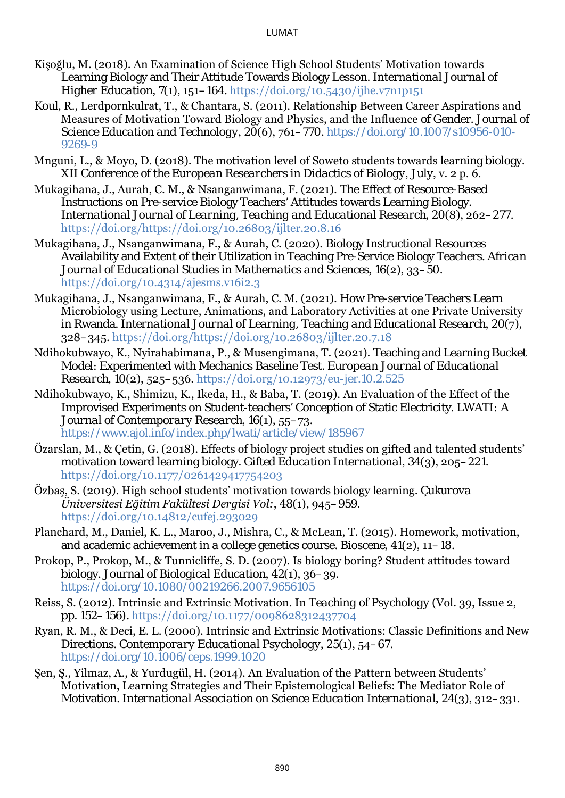- <span id="page-17-11"></span>Kişoğlu, M. (2018). An Examination of Science High School Students' Motivation towards Learning Biology and Their Attitude Towards Biology Lesson. *International Journal of Higher Education*, *7*(1), 151–164. <https://doi.org/10.5430/ijhe.v7n1p151>
- <span id="page-17-1"></span>Koul, R., Lerdpornkulrat, T., & Chantara, S. (2011). Relationship Between Career Aspirations and Measures of Motivation Toward Biology and Physics, and the Influence of Gender. *Journal of Science Education and Technology*, *20*(6), 761–770. [https://doi.org/10.1007/s10956-010-](https://doi.org/10.1007/s10956-010-9269-9) [9269-9](https://doi.org/10.1007/s10956-010-9269-9)
- <span id="page-17-10"></span>Mnguni, L., & Moyo, D. (2018). The motivation level of Soweto students towards learning biology. *XII Conference of the European Researchers in Didactics of Biology*, *July*, v. 2 p. 6.
- <span id="page-17-12"></span>Mukagihana, J., Aurah, C. M., & Nsanganwimana, F. (2021). The Effect of Resource-Based Instructions on Pre-service Biology Teachers' Attitudes towards Learning Biology. *International Journal of Learning, Teaching and Educational Research*, *20*(8), 262–277. [https://doi.org/https://doi.org/10.26803/ijlter.20.8.16](https://doi.org/https:/doi.org/10.26803/ijlter.20.8.16)
- Mukagihana, J., Nsanganwimana, F., & Aurah, C. (2020). Biology Instructional Resources Availability and Extent of their Utilization in Teaching Pre-Service Biology Teachers. *African Journal of Educational Studies in Mathematics and Sciences*, *16*(2), 33–50. <https://doi.org/10.4314/ajesms.v16i2.3>
- <span id="page-17-7"></span>Mukagihana, J., Nsanganwimana, F., & Aurah, C. M. (2021). How Pre-service Teachers Learn Microbiology using Lecture, Animations, and Laboratory Activities at one Private University in Rwanda. *International Journal of Learning, Teaching and Educational Research*, *20*(7), 328–345. [https://doi.org/https://doi.org/10.26803/ijlter.20.7.18](https://doi.org/https:/doi.org/10.26803/ijlter.20.7.18)
- <span id="page-17-8"></span>Ndihokubwayo, K., Nyirahabimana, P., & Musengimana, T. (2021). Teaching and Learning Bucket Model: Experimented with Mechanics Baseline Test. *European Journal of Educational Research*, *10*(2), 525–536. [https://doi.org/10.12973/eu](https://doi.org/10.12973/eu-jer.10.2.525)-jer.10.2.525
- <span id="page-17-9"></span>Ndihokubwayo, K., Shimizu, K., Ikeda, H., & Baba, T. (2019). An Evaluation of the Effect of the Improvised Experiments on Student-teachers' Conception of Static Electricity. *LWATI: A Journal of Contemporary Research*, *16*(1), 55–73. <https://www.ajol.info/index.php/lwati/article/view/185967>
- <span id="page-17-6"></span>Özarslan, M., & Çetin, G. (2018). Effects of biology project studies on gifted and talented students' motivation toward learning biology. *Gifted Education International*, *34*(3), 205–221. <https://doi.org/10.1177/0261429417754203>
- <span id="page-17-0"></span>Özbaş, S. (2019). High school students' motivation towards biology learning. *Çukurova Üniversitesi Eğitim Fakültesi Dergisi Vol:*, *48*(1), 945–959. <https://doi.org/10.14812/cufej.293029>
- <span id="page-17-13"></span>Planchard, M., Daniel, K. L., Maroo, J., Mishra, C., & McLean, T. (2015). Homework, motivation, and academic achievement in a college genetics course. *Bioscene*, *41*(2), 11–18.
- <span id="page-17-2"></span>Prokop, P., Prokop, M., & Tunnicliffe, S. D. (2007). Is biology boring? Student attitudes toward biology. *Journal of Biological Education*, *42*(1), 36–39. <https://doi.org/10.1080/00219266.2007.9656105>
- <span id="page-17-5"></span>Reiss, S. (2012). Intrinsic and Extrinsic Motivation. In *Teaching of Psychology* (Vol. 39, Issue 2, pp. 152–156). <https://doi.org/10.1177/0098628312437704>
- <span id="page-17-4"></span>Ryan, R. M., & Deci, E. L. (2000). Intrinsic and Extrinsic Motivations: Classic Definitions and New Directions. *Contemporary Educational Psychology*, *25*(1), 54–67. <https://doi.org/10.1006/ceps.1999.1020>
- <span id="page-17-3"></span>Şen, Ş., Yilmaz, A., & Yurdugül, H. (2014). An Evaluation of the Pattern between Students' Motivation, Learning Strategies and Their Epistemological Beliefs: The Mediator Role of Motivation. *International Association on Science Education International*, *24*(3), 312–331.